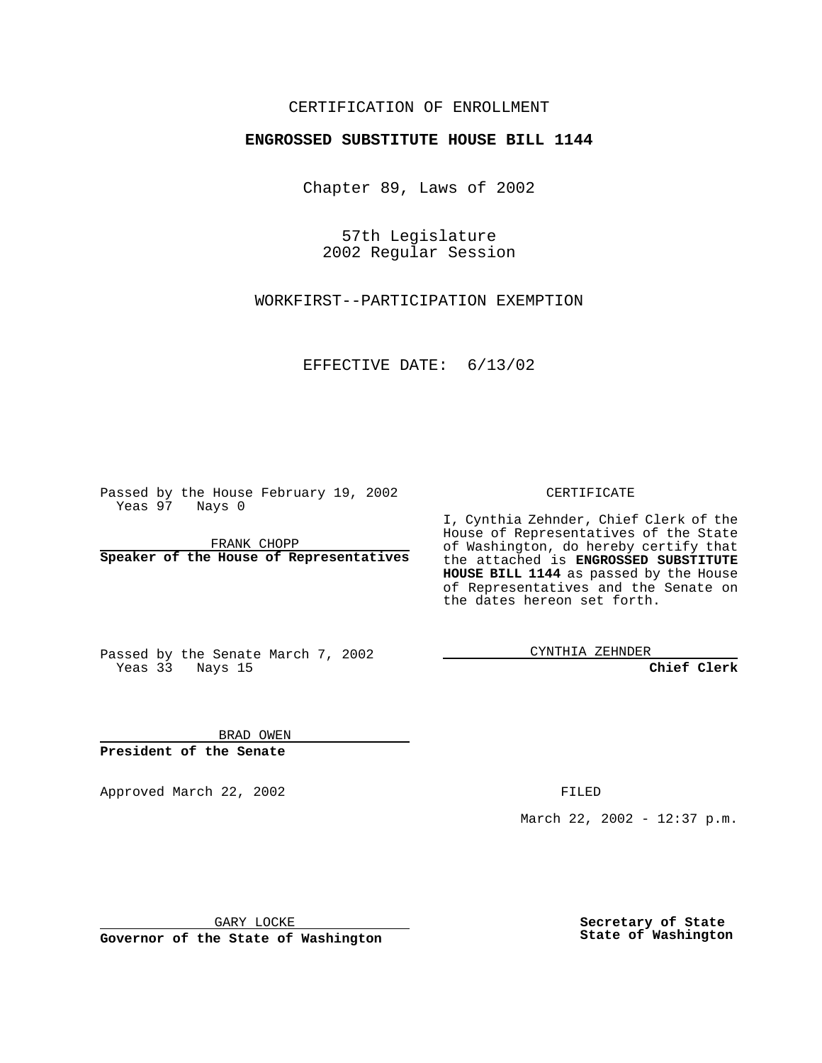## CERTIFICATION OF ENROLLMENT

## **ENGROSSED SUBSTITUTE HOUSE BILL 1144**

Chapter 89, Laws of 2002

57th Legislature 2002 Regular Session

WORKFIRST--PARTICIPATION EXEMPTION

EFFECTIVE DATE: 6/13/02

Passed by the House February 19, 2002 Yeas 97 Nays 0

FRANK CHOPP **Speaker of the House of Representatives** CERTIFICATE

I, Cynthia Zehnder, Chief Clerk of the House of Representatives of the State of Washington, do hereby certify that the attached is **ENGROSSED SUBSTITUTE HOUSE BILL 1144** as passed by the House of Representatives and the Senate on the dates hereon set forth.

Passed by the Senate March 7, 2002 Yeas 33 Nays 15

CYNTHIA ZEHNDER

**Chief Clerk**

BRAD OWEN **President of the Senate**

Approved March 22, 2002 **FILED** 

March 22, 2002 - 12:37 p.m.

GARY LOCKE

**Governor of the State of Washington**

**Secretary of State State of Washington**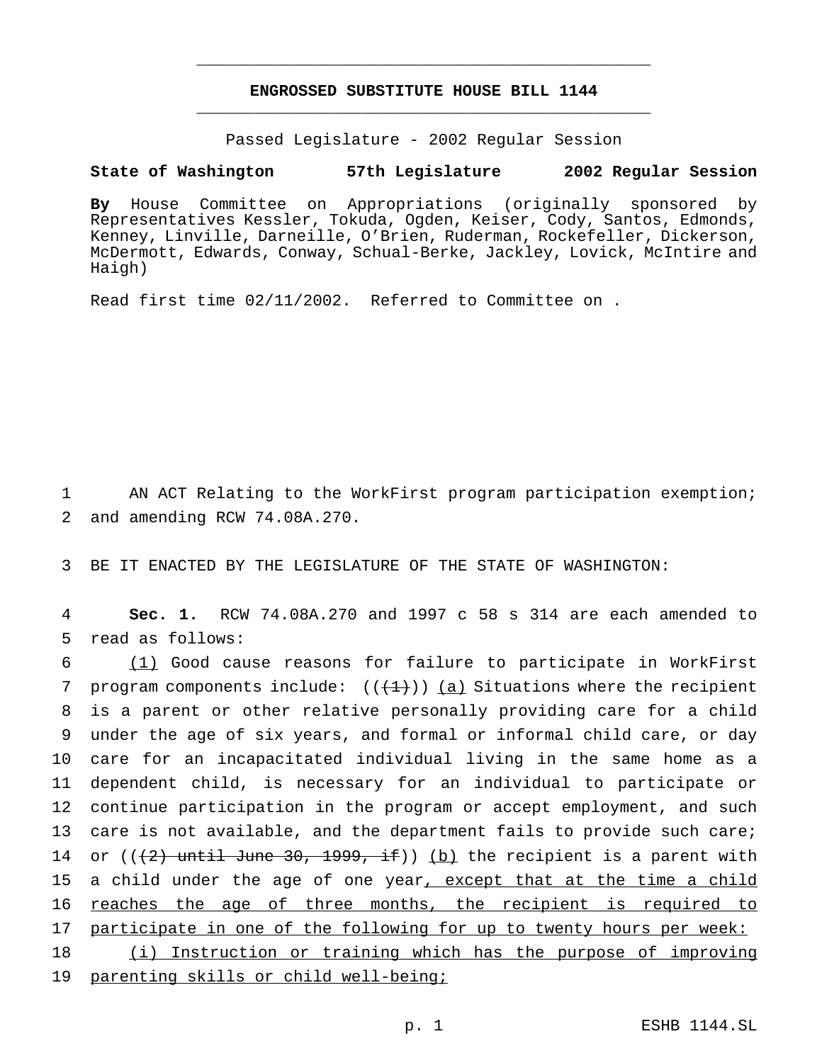## **ENGROSSED SUBSTITUTE HOUSE BILL 1144** \_\_\_\_\_\_\_\_\_\_\_\_\_\_\_\_\_\_\_\_\_\_\_\_\_\_\_\_\_\_\_\_\_\_\_\_\_\_\_\_\_\_\_\_\_\_\_

\_\_\_\_\_\_\_\_\_\_\_\_\_\_\_\_\_\_\_\_\_\_\_\_\_\_\_\_\_\_\_\_\_\_\_\_\_\_\_\_\_\_\_\_\_\_\_

Passed Legislature - 2002 Regular Session

## **State of Washington 57th Legislature 2002 Regular Session**

**By** House Committee on Appropriations (originally sponsored by Representatives Kessler, Tokuda, Ogden, Keiser, Cody, Santos, Edmonds, Kenney, Linville, Darneille, O'Brien, Ruderman, Rockefeller, Dickerson, McDermott, Edwards, Conway, Schual-Berke, Jackley, Lovick, McIntire and Haigh)

Read first time 02/11/2002. Referred to Committee on .

1 AN ACT Relating to the WorkFirst program participation exemption; 2 and amending RCW 74.08A.270.

3 BE IT ENACTED BY THE LEGISLATURE OF THE STATE OF WASHINGTON:

4 **Sec. 1.** RCW 74.08A.270 and 1997 c 58 s 314 are each amended to 5 read as follows:

6 (1) Good cause reasons for failure to participate in WorkFirst 7 program components include:  $((+1))$   $(a)$  Situations where the recipient 8 is a parent or other relative personally providing care for a child 9 under the age of six years, and formal or informal child care, or day 10 care for an incapacitated individual living in the same home as a 11 dependent child, is necessary for an individual to participate or 12 continue participation in the program or accept employment, and such 13 care is not available, and the department fails to provide such care; 14 or  $((2)$  until June 30, 1999, if)) (b) the recipient is a parent with 15 a child under the age of one year, except that at the time a child 16 reaches the age of three months, the recipient is required to 17 participate in one of the following for up to twenty hours per week: 18 (i) Instruction or training which has the purpose of improving

19 parenting skills or child well-being;